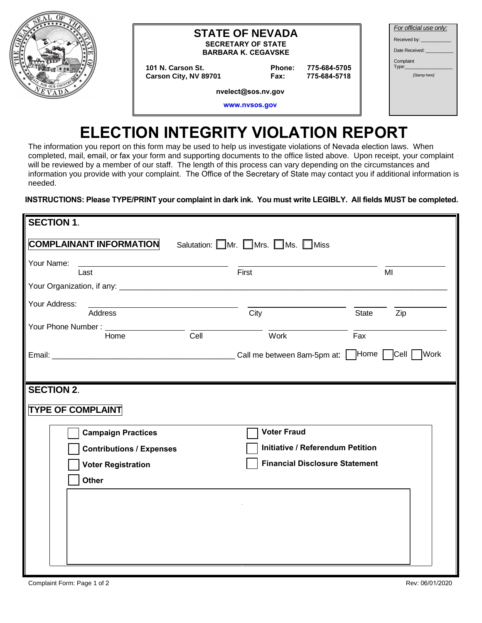

#### **STATE OF NEVADA SECRETARY OF STATE**

**BARBARA K. CEGAVSKE** 

101 N. Carson St. Carson City, NV 89701 Phone: 775-684-5705 775-684-5718 Fax:

| For official use only:                                                                                        |  |  |  |  |
|---------------------------------------------------------------------------------------------------------------|--|--|--|--|
| Received by: The control of the state of the state of the state of the state of the state of the state of the |  |  |  |  |
| Date Received:                                                                                                |  |  |  |  |
| Complaint<br>Type:                                                                                            |  |  |  |  |
| <b>Stamp</b> herel                                                                                            |  |  |  |  |
|                                                                                                               |  |  |  |  |
|                                                                                                               |  |  |  |  |

nvelect@sos.nv.gov

www.nvsos.gov

# **ELECTION INTEGRITY VIOLATION REPORT**

The information you report on this form may be used to help us investigate violations of Nevada election laws. When completed, mail, email, or fax your form and supporting documents to the office listed above. Upon receipt, your complaint will be reviewed by a member of our staff. The length of this process can vary depending on the circumstances and information you provide with your complaint. The Office of the Secretary of State may contact you if additional information is needed.

#### **INSTRUCTIONS: Please TYPE/PRINT your complaint in dark ink. You must write LEGIBLY. All fields MUST be completed.**

| <b>SECTION 1.</b>                                                                                                                                 |                                         |       |     |  |
|---------------------------------------------------------------------------------------------------------------------------------------------------|-----------------------------------------|-------|-----|--|
| <b>COMPLAINANT INFORMATION</b>                                                                                                                    | Salutation: Mr. Mrs. Ms. Miss           |       |     |  |
| Your Name:<br><u> 1989 - Johann John Stein, fransk politik (f. 1989)</u><br>Last                                                                  | First                                   |       | MI  |  |
|                                                                                                                                                   |                                         |       |     |  |
| Your Address:<br><u> 1989 - Johann Harry Barn, mars and de Barn, mars and de Barn, mars and de Barn, mars and de Barn, mars and de</u><br>Address | City                                    | State | Zip |  |
| Your Phone Number: Home Cell Cell Work                                                                                                            |                                         | Fax   |     |  |
|                                                                                                                                                   |                                         |       |     |  |
|                                                                                                                                                   |                                         |       |     |  |
| <b>SECTION 2.</b>                                                                                                                                 |                                         |       |     |  |
| <b>TYPE OF COMPLAINT</b>                                                                                                                          |                                         |       |     |  |
| <b>Campaign Practices</b>                                                                                                                         | <b>Voter Fraud</b>                      |       |     |  |
| <b>Contributions / Expenses</b>                                                                                                                   | <b>Initiative / Referendum Petition</b> |       |     |  |
| <b>Voter Registration</b>                                                                                                                         | <b>Financial Disclosure Statement</b>   |       |     |  |
| Other                                                                                                                                             |                                         |       |     |  |
|                                                                                                                                                   |                                         |       |     |  |
|                                                                                                                                                   |                                         |       |     |  |
|                                                                                                                                                   |                                         |       |     |  |
|                                                                                                                                                   |                                         |       |     |  |
|                                                                                                                                                   |                                         |       |     |  |